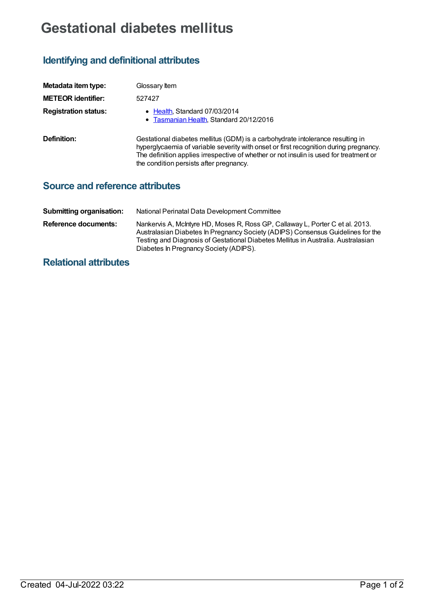## **Gestational diabetes mellitus**

## **Identifying and definitional attributes**

| Metadata item type:         | Glossary Item                                                                                                                                                                                                                                                                                                |
|-----------------------------|--------------------------------------------------------------------------------------------------------------------------------------------------------------------------------------------------------------------------------------------------------------------------------------------------------------|
| <b>METEOR identifier:</b>   | 527427                                                                                                                                                                                                                                                                                                       |
| <b>Registration status:</b> | • Health, Standard 07/03/2014<br>• Tasmanian Health, Standard 20/12/2016                                                                                                                                                                                                                                     |
| Definition:                 | Gestational diabetes mellitus (GDM) is a carbohydrate intolerance resulting in<br>hyperglycaemia of variable severity with onset or first recognition during pregnancy.<br>The definition applies irrespective of whether or not insulin is used for treatment or<br>the condition persists after pregnancy. |

## **Source and reference attributes**

| <b>Submitting organisation:</b> | National Perinatal Data Development Committee                                                                                                                                                                                                                                                   |
|---------------------------------|-------------------------------------------------------------------------------------------------------------------------------------------------------------------------------------------------------------------------------------------------------------------------------------------------|
| Reference documents:            | Nankervis A, McIntyre HD, Moses R, Ross GP, Callaway L, Porter C et al. 2013.<br>Australasian Diabetes In Pregnancy Society (ADIPS) Consensus Guidelines for the<br>Testing and Diagnosis of Gestational Diabetes Mellitus in Australia. Australasian<br>Diabetes In Pregnancy Society (ADIPS). |

## **Relational attributes**